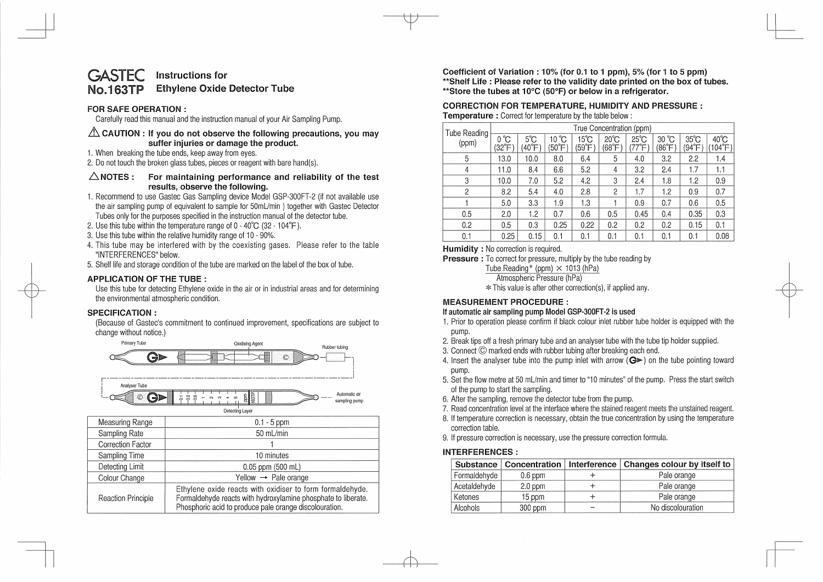#### GASTEC No.163TP **Instructions for Ethylene Oxide Detector Tube**

# **FOR SAFE OPERATION** :

Carefully read this manual and the instruction manual of your Air Sampling Pump.

# & **CAUTION : If you do not observe the following precautions, you may suffer injuries or damage the product.**

1. When breaking the tube ends, keep away from eyes.

2. Do not touch the broken glass tubes, pieces or reagent with bare hand(s).

# **6.NOTES: For maintaining performance and reliability of the test results, observe the following.**

- 1. Recommend to use Gastec Gas Sampling device Model GSP-300FT-2 (if not available use the air sampling pump of equivalent to sample for 50mL/min ) together with Gastec Detector Tubes only for the purposes specified in the instruction manual of the detector tube.
- 2. Use this tube within the temperature range of  $0 40^{\circ}C$  (32 104 $^{\circ}F$ ).
- 3. Use this tube within the relative humidity range of 10 90%.
- 4. This tube may be interfered with by the coexisting gases. Please refer to the table "INTERFERENCES" below.
- 5. Shelf life and storage condition of the tube are marked on the label of the box of tube.

# **APPLICATION OF THE TUBE** :

Use this tube for detecting Ethylene oxide in the air or in industrial areas and for determining the environmental atmospheric condition.

# **SPECIFICATION** :

(Because of Gastec's commitment to continued improvement, specifications are subject to change without notice.)



**Coefficient of Variation : 10% (for 0.1 to 1 ppm), 5% (for 1 to 5 ppm) \*\*Shelf Life : Please refer to the validity date printed on the box of tubes. \*\*Store the tubes at 10°C (50°F) or below in a refrigerator.** 

#### **CORRECTION FOR TEMPERATURE, HUMIDITY AND PRESSURE** : **Temperature** : Correct for temperature by the table below:

| Tube Reading<br>(ppm) | True Concentration (ppm)         |                                 |                |                          |                          |                         |                         |                         |                 |
|-----------------------|----------------------------------|---------------------------------|----------------|--------------------------|--------------------------|-------------------------|-------------------------|-------------------------|-----------------|
|                       | $0^{\circ}$ C<br>$(32^{\circ}F)$ | $5^{\circ}$ C<br>$40^{\circ}$ F | 10 °C<br>(50°F | $15^{\circ}$ C<br>(59°F) | $20^{\circ}$ C<br>(68°F) | $25^{\circ}$ C<br>77°F' | $30^{\circ}$ C<br>(86°F | $35^{\circ}$ C<br>(94°F | 40°C<br>(104°F) |
| 5                     | 13.0                             | 10.0                            | 8.0            | 6.4                      | 5                        | 4.0                     | 3.2                     | 2.2                     | 1.4             |
| 4                     | 11.0                             | 8.4                             | 6.6            | 5.2                      | 4                        | 3.2                     | 2.4                     | 1.7                     | 1.1             |
| 3                     | 10.0                             | 7.0                             | 5.2            | 4.2                      | 3                        | 2.4                     | 1.8                     | 1.2                     | 0.9             |
| 2                     | 8.2                              | 5.4                             | 4.0            | 2.8                      | $\overline{2}$           | 1.7                     | 1.2                     | 0.9                     | 0.7             |
|                       | 5.0                              | 3.3                             | 1.9            | 1.3                      |                          | 0.9                     | 0.7                     | 0.6                     | 0.5             |
| 0.5                   | 2.0                              | 1.2                             | 0.7            | 0.6                      | 0.5                      | 0.45                    | 0.4                     | 0.35                    | 0.3             |
| 0.2                   | 0.5                              | 0.3                             | 0.25           | 0.22                     | 0.2                      | 0.2                     | 0.2                     | 0.15                    | 0.1             |
| 0.1                   | 0.25                             | 0.15                            | 0.1            | 0.1                      | 0.1                      | 0.1                     | 0.1                     | 0.1                     | 0.08            |

**Humidity** : No correction is required.

**Pressure** : To correct for pressure, multiply by the tube reading by

Tube Reading\* (ppm)  $\times$  1013 (hPa)

Atmospheric Pressure (hPa)

\* This value is after other correction(s), if applied any.

# **MEASUREMENT PROCEDURE:**

# **If automatic air sampling pump Model GSP-300FT-2 is used**

- 1. Prior to operation please confirm if black colour inlet rubber tube holder is equipped with the pump.
- 2. Break tips off a fresh primary tube and an analyser tube with the tube tip holder supplied.
- 3. Connect © marked ends with rubber tubing after breaking each end.
- 4. Insert the analyser tube into the pump inlet with arrow  $(Q \triangleright)$  on the tube pointing toward pump.
- 5. Set the flow metre at 50 mUmin and timer to "10 minutes" of the pump. Press the start switch of the pump to start the sampling.
- 6. After the sampling, remove the detector tube from the pump.
- 7. Read concentration level at the interface where the stained reagent meets the unstained reagent.
- 8. If temperature correction is necessary, obtain the true concentration by using the temperature correction table.
- 9. If pressure correction is necessary, use the pressure correction formula.

# **INTERFERENCES** :

|              |           | Substance   Concentration   Interference   Changes colour by itself to |
|--------------|-----------|------------------------------------------------------------------------|
| Formaldehyde | $0.6$ ppm | Pale orange                                                            |
| Acetaldehyde | $2.0$ ppm | Pale orange                                                            |
| Ketones      | 15 ppm    | Pale orange                                                            |
| Alcohols     | 300 ppm   | No discolouration                                                      |